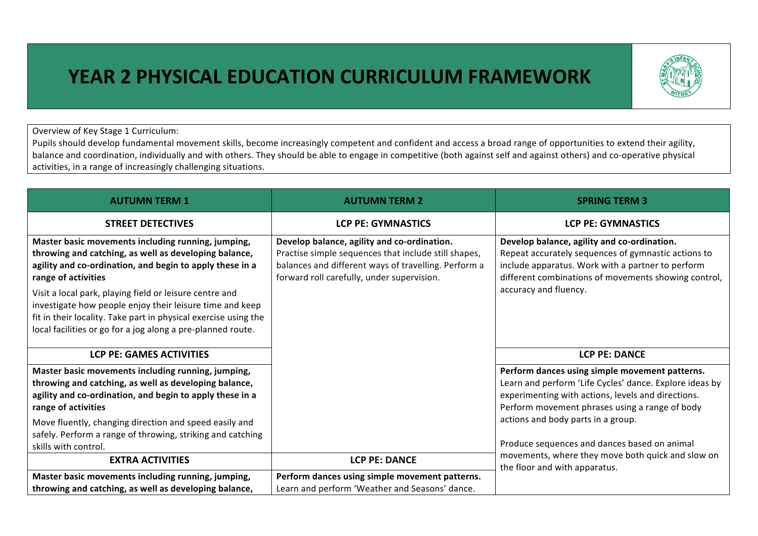## **YEAR 2 PHYSICAL EDUCATION CURRICULUM FRAMEWORK**

Overview of Key Stage 1 Curriculum:

Pupils should develop fundamental movement skills, become increasingly competent and confident and access a broad range of opportunities to extend their agility, balance and coordination, individually and with others. They should be able to engage in competitive (both against self and against others) and co-operative physical activities, in a range of increasingly challenging situations.

| <b>AUTUMN TERM 1</b>                                                                                                                                                                                                                                  | <b>AUTUMN TERM 2</b>                                                                                                                                                                                      | <b>SPRING TERM 3</b>                                                                                                                                                                                              |
|-------------------------------------------------------------------------------------------------------------------------------------------------------------------------------------------------------------------------------------------------------|-----------------------------------------------------------------------------------------------------------------------------------------------------------------------------------------------------------|-------------------------------------------------------------------------------------------------------------------------------------------------------------------------------------------------------------------|
| <b>STREET DETECTIVES</b>                                                                                                                                                                                                                              | <b>LCP PE: GYMNASTICS</b>                                                                                                                                                                                 | <b>LCP PE: GYMNASTICS</b>                                                                                                                                                                                         |
| Master basic movements including running, jumping,<br>throwing and catching, as well as developing balance,<br>agility and co-ordination, and begin to apply these in a<br>range of activities                                                        | Develop balance, agility and co-ordination.<br>Practise simple sequences that include still shapes,<br>balances and different ways of travelling. Perform a<br>forward roll carefully, under supervision. | Develop balance, agility and co-ordination.<br>Repeat accurately sequences of gymnastic actions to<br>include apparatus. Work with a partner to perform<br>different combinations of movements showing control,   |
| Visit a local park, playing field or leisure centre and<br>investigate how people enjoy their leisure time and keep<br>fit in their locality. Take part in physical exercise using the<br>local facilities or go for a jog along a pre-planned route. |                                                                                                                                                                                                           | accuracy and fluency.                                                                                                                                                                                             |
| <b>LCP PE: GAMES ACTIVITIES</b>                                                                                                                                                                                                                       |                                                                                                                                                                                                           | <b>LCP PE: DANCE</b>                                                                                                                                                                                              |
| Master basic movements including running, jumping,<br>throwing and catching, as well as developing balance,<br>agility and co-ordination, and begin to apply these in a<br>range of activities                                                        |                                                                                                                                                                                                           | Perform dances using simple movement patterns.<br>Learn and perform 'Life Cycles' dance. Explore ideas by<br>experimenting with actions, levels and directions.<br>Perform movement phrases using a range of body |
| Move fluently, changing direction and speed easily and<br>safely. Perform a range of throwing, striking and catching<br>skills with control.                                                                                                          |                                                                                                                                                                                                           | actions and body parts in a group.<br>Produce sequences and dances based on animal<br>movements, where they move both quick and slow on<br>the floor and with apparatus.                                          |
| <b>EXTRA ACTIVITIES</b>                                                                                                                                                                                                                               | <b>LCP PE: DANCE</b>                                                                                                                                                                                      |                                                                                                                                                                                                                   |
| Master basic movements including running, jumping,<br>throwing and catching, as well as developing balance,                                                                                                                                           | Perform dances using simple movement patterns.<br>Learn and perform 'Weather and Seasons' dance.                                                                                                          |                                                                                                                                                                                                                   |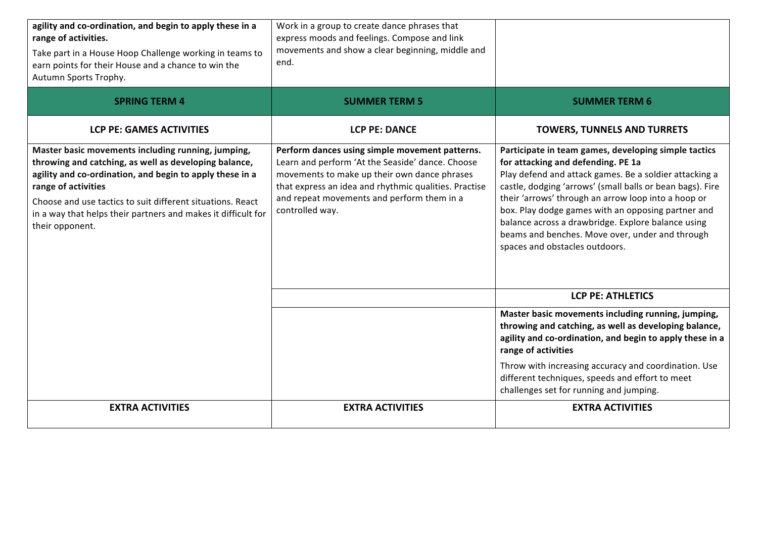| agility and co-ordination, and begin to apply these in a<br>range of activities.<br>Take part in a House Hoop Challenge working in teams to<br>earn points for their House and a chance to win the<br>Autumn Sports Trophy.                                                                                                                      | Work in a group to create dance phrases that<br>express moods and feelings. Compose and link<br>movements and show a clear beginning, middle and<br>end.                                                                                                                     |                                                                                                                                                                                                                                                                                                                                                                                                                                                                           |
|--------------------------------------------------------------------------------------------------------------------------------------------------------------------------------------------------------------------------------------------------------------------------------------------------------------------------------------------------|------------------------------------------------------------------------------------------------------------------------------------------------------------------------------------------------------------------------------------------------------------------------------|---------------------------------------------------------------------------------------------------------------------------------------------------------------------------------------------------------------------------------------------------------------------------------------------------------------------------------------------------------------------------------------------------------------------------------------------------------------------------|
| <b>SPRING TERM 4</b>                                                                                                                                                                                                                                                                                                                             | <b>SUMMER TERM 5</b>                                                                                                                                                                                                                                                         | <b>SUMMER TERM 6</b>                                                                                                                                                                                                                                                                                                                                                                                                                                                      |
| <b>LCP PE: GAMES ACTIVITIES</b>                                                                                                                                                                                                                                                                                                                  | <b>LCP PE: DANCE</b>                                                                                                                                                                                                                                                         | <b>TOWERS, TUNNELS AND TURRETS</b>                                                                                                                                                                                                                                                                                                                                                                                                                                        |
| Master basic movements including running, jumping,<br>throwing and catching, as well as developing balance,<br>agility and co-ordination, and begin to apply these in a<br>range of activities<br>Choose and use tactics to suit different situations. React<br>in a way that helps their partners and makes it difficult for<br>their opponent. | Perform dances using simple movement patterns.<br>Learn and perform 'At the Seaside' dance. Choose<br>movements to make up their own dance phrases<br>that express an idea and rhythmic qualities. Practise<br>and repeat movements and perform them in a<br>controlled way. | Participate in team games, developing simple tactics<br>for attacking and defending. PE 1a<br>Play defend and attack games. Be a soldier attacking a<br>castle, dodging 'arrows' (small balls or bean bags). Fire<br>their 'arrows' through an arrow loop into a hoop or<br>box. Play dodge games with an opposing partner and<br>balance across a drawbridge. Explore balance using<br>beams and benches. Move over, under and through<br>spaces and obstacles outdoors. |
|                                                                                                                                                                                                                                                                                                                                                  |                                                                                                                                                                                                                                                                              | <b>LCP PE: ATHLETICS</b>                                                                                                                                                                                                                                                                                                                                                                                                                                                  |
|                                                                                                                                                                                                                                                                                                                                                  |                                                                                                                                                                                                                                                                              | Master basic movements including running, jumping,<br>throwing and catching, as well as developing balance,<br>agility and co-ordination, and begin to apply these in a<br>range of activities                                                                                                                                                                                                                                                                            |
|                                                                                                                                                                                                                                                                                                                                                  |                                                                                                                                                                                                                                                                              | Throw with increasing accuracy and coordination. Use<br>different techniques, speeds and effort to meet<br>challenges set for running and jumping.                                                                                                                                                                                                                                                                                                                        |
| <b>EXTRA ACTIVITIES</b>                                                                                                                                                                                                                                                                                                                          | <b>EXTRA ACTIVITIES</b>                                                                                                                                                                                                                                                      | <b>EXTRA ACTIVITIES</b>                                                                                                                                                                                                                                                                                                                                                                                                                                                   |